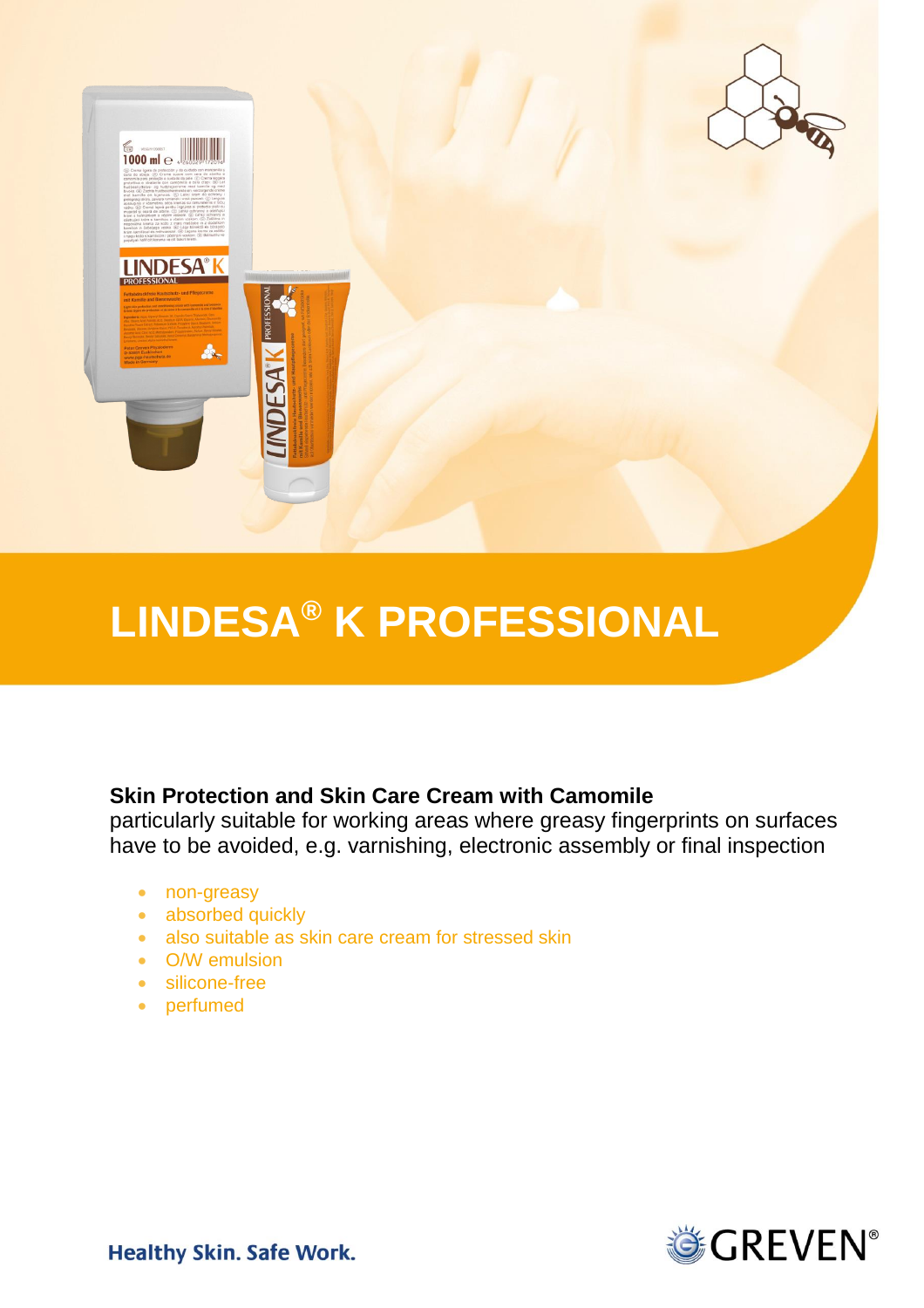

# **LINDESA® K PROFESSIONAL**

# **Skin Protection and Skin Care Cream with Camomile**

particularly suitable for working areas where greasy fingerprints on surfaces have to be avoided, e.g. varnishing, electronic assembly or final inspection

- non-greasy
- absorbed quickly
- also suitable as skin care cream for stressed skin
- O/W emulsion
- silicone-free
- perfumed



**Healthy Skin. Safe Work.**